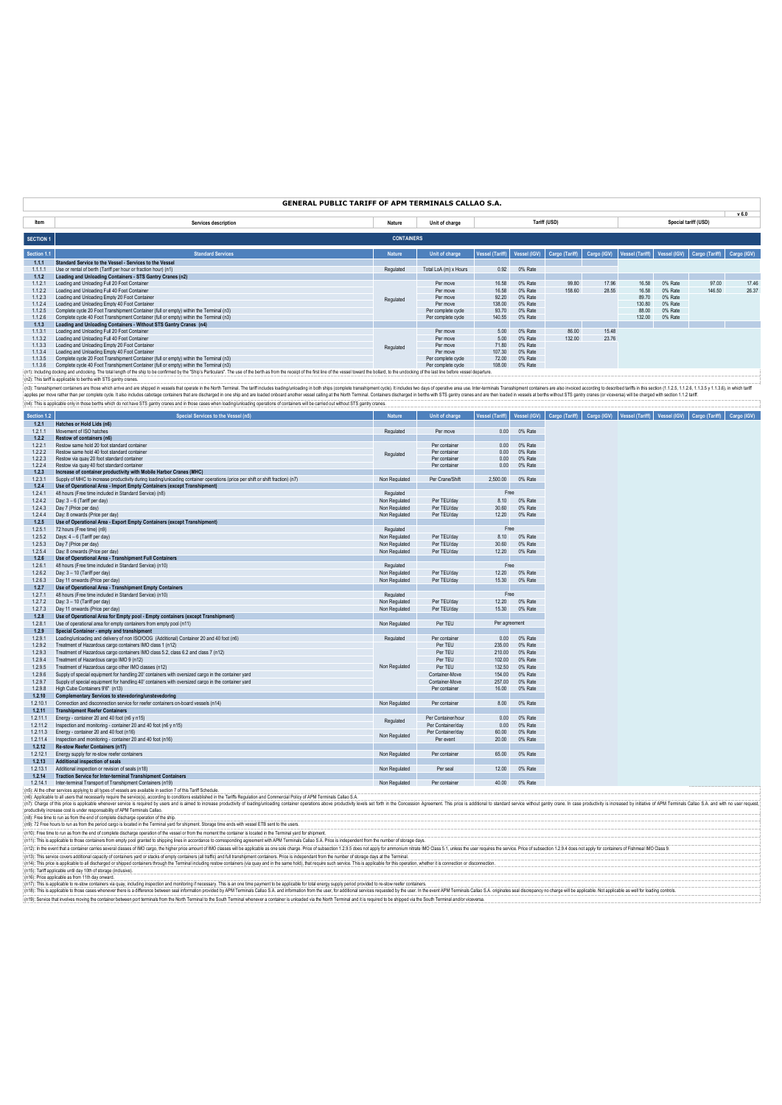|                  | <b>GENERAL PUBLIC TARIFF OF APM TERMINALS CALLAO S.A.</b>                                                                                                                                                                      |                   |                       |                        |              |                |             |                 |              |                      |                  |
|------------------|--------------------------------------------------------------------------------------------------------------------------------------------------------------------------------------------------------------------------------|-------------------|-----------------------|------------------------|--------------|----------------|-------------|-----------------|--------------|----------------------|------------------|
|                  |                                                                                                                                                                                                                                |                   |                       |                        |              |                |             |                 |              |                      | v <sub>6.0</sub> |
| Item             | Services description                                                                                                                                                                                                           | Nature            | Unit of charge        |                        |              | Tariff (USD)   |             |                 |              | Special tariff (USD) |                  |
| <b>SECTION 1</b> |                                                                                                                                                                                                                                | <b>CONTAINERS</b> |                       |                        |              |                |             |                 |              |                      |                  |
| Section 1.1      | <b>Standard Services</b>                                                                                                                                                                                                       | <b>Nature</b>     | Unit of charge        | <b>Vessel (Tariff)</b> | Vessel (IGV) | Cargo (Tariff) | Cargo (IGV) | Vessel (Tariff) | Vessel (IGV) | Cargo (Tariff)       | Cargo (IGV)      |
| 1.1.1            | Standard Service to the Vessel - Services to the Vessel                                                                                                                                                                        |                   |                       |                        |              |                |             |                 |              |                      |                  |
| 1111             | Use or rental of berth (Tariff per hour or fraction hour) (n1)                                                                                                                                                                 | Regulated         | Total LoA (m) x Hours | 0.92                   | 0% Rate      |                |             |                 |              |                      |                  |
| 1.1.2            | Loading and Unloading Containers - STS Gantry Cranes (n2)                                                                                                                                                                      |                   |                       |                        |              |                |             |                 |              |                      |                  |
| 1121             | Loading and Unloading Full 20 Foot Container                                                                                                                                                                                   |                   | Per move              | 16.58                  | 0% Rate      | 99.80          | 17.96       | 16.58           | 0% Rate      | 97.00                | 17.46            |
| 1.1.2.2          | Loading and Unloading Full 40 Foot Container                                                                                                                                                                                   |                   | Per move              | 16.58                  | 0% Rate      | 158.60         | 28.55       | 16.58           | 0% Rate      | 146.50               | 26.37            |
| 1123             | Loading and Unloading Empty 20 Foot Container                                                                                                                                                                                  | Regulated         | Per move              | 92.20                  | 0% Rate      |                |             | 89.70           | 0% Rate      |                      |                  |
| 1124             | Loading and Unloading Empty 40 Foot Container                                                                                                                                                                                  |                   | Per move              | 138.00                 | 0% Rate      |                |             | 130.80          | 0% Rate      |                      |                  |
| 1125             | Complete cycle 20 Foot Transhipment Container (full or empty) within the Terminal (n3)                                                                                                                                         |                   | Per complete cycle    | 93.70                  | 0% Rate      |                |             | 88.00           | 0% Rate      |                      |                  |
| 1.1.2.6          | Complete cycle 40 Foot Transhipment Container (full or empty) within the Terminal (n3)                                                                                                                                         |                   | Per complete cycle    | 140.55                 | 0% Rate      |                |             | 132.00          | 0% Rate      |                      |                  |
| 1.1.3            | Loading and Unloading Containers - Without STS Gantry Cranes (n4)                                                                                                                                                              |                   |                       |                        |              |                |             |                 |              |                      |                  |
| 1131             | Loading and Unloading Full 20 Foot Container                                                                                                                                                                                   |                   | Per move              | 5.00                   | 0% Rate      | 86.00          | 1548        |                 |              |                      |                  |
| 1132             | Loading and Unloading Full 40 Foot Container                                                                                                                                                                                   |                   | Per move              | 5.00                   | 0% Rate      | 132.00         | 23.76       |                 |              |                      |                  |
| 1.1.3.3          | Loading and Unloading Empty 20 Foot Container                                                                                                                                                                                  | Regulated         | Per move              | 71.80                  | 0% Rate      |                |             |                 |              |                      |                  |
| 1134             | Loading and Unloading Empty 40 Foot Container                                                                                                                                                                                  |                   | Per move              | 107.30                 | 0% Rate      |                |             |                 |              |                      |                  |
| 1135             | Complete cycle 20 Foot Transhipment Container (full or empty) within the Terminal (n3)                                                                                                                                         |                   | Per complete cycle    | 72.00                  | 0% Rate      |                |             |                 |              |                      |                  |
| 1136             | Complete cycle 40 Foot Transhipment Container (full or empty) within the Terminal (n3)                                                                                                                                         |                   | Per complete cycle    | 108.00                 | 0% Rate      |                |             |                 |              |                      |                  |
|                  | (n1): Including docking and undocking. The total length of the ship to be confirmed by the "Ship's Particulars". The use of the berth as from the receipt of the first line of the wessel toward the bollard, to the undocking |                   |                       |                        |              |                |             |                 |              |                      |                  |
|                  | (n2): This tariff is applicable to berths with STS gantry cranes.                                                                                                                                                              |                   |                       |                        |              |                |             |                 |              |                      |                  |
|                  | (n3): Transshipment containers are those which arrive and are shipped in vessels that operate in the North Terminal. The tariff includes loading unloading in both arist complete transshipment cycle). It includes two days o |                   |                       |                        |              |                |             |                 |              |                      |                  |

applies per move rather than per complete cycle. It also includes cabotage containers that are discharged in one ship and are loaded onboard another vessel calling at the North Terminal. Containers discharged in berths wit (n4): This is applicable only in those berths which do not have STS gantry cranes and in those cases when loading/unloading operations of containers will be carried out without STS gantry cranes.

| <b>Section 1.2</b> | <b>Special Services to the Vessel (n5)</b>                                                                                    | <b>Nature</b> | Unit of charge     |               |         | Vessel (Tariff)   Vessel (IGV)   Cargo (Tariff)   Cargo (IGV)   Vessel (Tariff)   Vessel (IGV)   Cargo (Tariff)   Cargo (IGV) |  |  |
|--------------------|-------------------------------------------------------------------------------------------------------------------------------|---------------|--------------------|---------------|---------|-------------------------------------------------------------------------------------------------------------------------------|--|--|
| 1.2.1              | Hatches or Hold Lids (n6)                                                                                                     |               |                    |               |         |                                                                                                                               |  |  |
| 1.2.1.1            | Movement of ISO hatches                                                                                                       | Regulated     | Per move           | 0.00          | 0% Rate |                                                                                                                               |  |  |
| 1.2.2              | Restow of containers (n6)                                                                                                     |               |                    |               |         |                                                                                                                               |  |  |
| 1.2.2.1            | Restow same hold 20 foot standard container                                                                                   |               | Per container      | 0.00          | 0% Rate |                                                                                                                               |  |  |
| 1.2.2.2            | Restow same hold 40 foot standard container                                                                                   | Regulated     | Per container      | 0.00          | 0% Rate |                                                                                                                               |  |  |
| 1.2.2.3            | Restow via quay 20 foot standard container                                                                                    |               | Per container      | 0.00          | 0% Rate |                                                                                                                               |  |  |
| 1.2.2.4            | Restow via quay 40 foot standard container                                                                                    |               | Per container      | 0.00          | 0% Rate |                                                                                                                               |  |  |
| 1.2.3              | Increase of container productivity with Mobile Harbor Cranes (MHC)                                                            |               |                    |               |         |                                                                                                                               |  |  |
| 1.2.3.1            | Supply of MHC to increase productivity during loading/unloading container operations (price per shift or shift fraction) (n7) | Non Regulated | Per Crane/Shift    | 2,500.00      | 0% Rate |                                                                                                                               |  |  |
| 1.2.4              | Use of Operational Area - Import Empty Containers (except Transhipment)                                                       |               |                    |               |         |                                                                                                                               |  |  |
| 1.2.4.1            | 48 hours (Free time included in Standard Service) (n8)                                                                        | Regulated     |                    | Free          |         |                                                                                                                               |  |  |
| 1.2.4.2            | Day: 3 - 6 (Tariff per day)                                                                                                   | Non Regulated | Per TEU/day        | 8.10          | 0% Rate |                                                                                                                               |  |  |
| 1,2.4.3            | Day 7 (Price per day)                                                                                                         | Non Regulated | Per TEU/day        | 30.60         | 0% Rate |                                                                                                                               |  |  |
| 1.2.4.4            | Day: 8 onwards (Price per day)                                                                                                | Non Regulated | Per TEU/day        | 12.20         | 0% Rate |                                                                                                                               |  |  |
| 1.2.5              | Use of Operational Area - Export Empty Containers (except Transhipment)                                                       |               |                    |               |         |                                                                                                                               |  |  |
| 1.2.5.1            | 72 hours (Free time) (n9)                                                                                                     | Regulated     |                    | Free          |         |                                                                                                                               |  |  |
| 1.2.5.2            | Days: 4 - 6 (Tariff per day)                                                                                                  | Non Regulated | Per TEU/day        | 8.10          | 0% Rate |                                                                                                                               |  |  |
| 1.2.5.3            | Day 7 (Price per day)                                                                                                         | Non Regulated | Per TEU/day        | 30.60         | 0% Rate |                                                                                                                               |  |  |
| 1.2.5.4            | Day: 8 onwards (Price per day)                                                                                                | Non Regulated | Per TEU/dav        | 12.20         | 0% Rate |                                                                                                                               |  |  |
| 1.2.6              | Use of Operational Area - Transhipment Full Containers                                                                        |               |                    |               |         |                                                                                                                               |  |  |
| 1.2.6.1            | 48 hours (Free time included in Standard Service) (n10)                                                                       | Regulated     |                    | Free          |         |                                                                                                                               |  |  |
| 1.2.6.2            | Day: 3 - 10 (Tariff per day)                                                                                                  | Non Regulated | Per TEU/day        | 12.20         | 0% Rate |                                                                                                                               |  |  |
| 1.2.6.3            | Day 11 onwards (Price per day)                                                                                                | Non Regulated | Per TEU/day        | 15.30         | 0% Rate |                                                                                                                               |  |  |
| 1.2.7              | Use of Operational Area - Transhipment Empty Containers                                                                       |               |                    |               |         |                                                                                                                               |  |  |
| 1.2.7.1            | 48 hours (Free time included in Standard Service) (n10)                                                                       | Regulated     |                    | Free          |         |                                                                                                                               |  |  |
| 1.2.7.2            | Day: 3 - 10 (Tariff per day)                                                                                                  | Non Regulated | Per TEU/day        | 12.20         | 0% Rate |                                                                                                                               |  |  |
| 1.2.7.3            | Day 11 onwards (Price per day)                                                                                                | Non Regulated | Per TEU/day        | 15.30         | 0% Rate |                                                                                                                               |  |  |
|                    |                                                                                                                               |               |                    |               |         |                                                                                                                               |  |  |
| 1.2.8<br>1.2.8.1   | Use of Operational Area for Empty pool - Empty containers (except Transhipment)                                               |               | Per TEU            | Per agreement |         |                                                                                                                               |  |  |
|                    | Use of operational area for empty containers from empty pool (n11)                                                            | Non Regulated |                    |               |         |                                                                                                                               |  |  |
| 1.2.9              | Special Container - empty and transhipment                                                                                    |               |                    |               |         |                                                                                                                               |  |  |
| 1.2.9.1            | Loading/unloading and delivery of non ISO/OOG (Additional) Container 20 and 40 foot (n6)                                      | Regulated     | Per container      | 0.00          | 0% Rate |                                                                                                                               |  |  |
| 1.2.9.2            | Treatment of Hazardous cargo containers IMO class 1 (n12)                                                                     |               | Per TEU            | 235.00        | 0% Rate |                                                                                                                               |  |  |
| 1.2.9.3            | Treatment of Hazardous cargo containers IMO class 5.2, class 6.2 and class 7 (n12)                                            |               | Per TEU            | 210.00        | 0% Rate |                                                                                                                               |  |  |
| 1.2.9.4            | Treatment of Hazardous cargo IMO 9 (n12)                                                                                      |               | Per TEU            | 102.00        | 0% Rate |                                                                                                                               |  |  |
| 1.2.9.5            | Treatment of Hazardous cargo other IMO classes (n12)                                                                          | Non Regulated | Per TEU            | 132.50        | 0% Rate |                                                                                                                               |  |  |
| 1.2.9.6            | Supply of special equipment for handling 20' containers with oversized cargo in the container yard                            |               | Container-Move     | 154.00        | 0% Rate |                                                                                                                               |  |  |
| 1.2.9.7            | Supply of special equipment for handling 40' containers with oversized cargo in the container yard                            |               | Container-Move     | 257.00        | 0% Rate |                                                                                                                               |  |  |
| 1.2.9.8            | High Cube Containers 9'6" (n13)                                                                                               |               | Per container      | 16.00         | 0% Rate |                                                                                                                               |  |  |
| 1.2.10             | <b>Complementary Services to stevedoring/unstevedoring</b>                                                                    |               |                    |               |         |                                                                                                                               |  |  |
| 1.2.10.1           | Connection and disconnection service for reefer containers on-board vessels (n14)                                             | Non Regulated | Per container      | 8.00          | 0% Rate |                                                                                                                               |  |  |
| 1.2.11             | <b>Transhipment Reefer Containers</b>                                                                                         |               |                    |               |         |                                                                                                                               |  |  |
| 1.2.11.1           | Energy - container 20 and 40 foot (n6 y n15)                                                                                  | Regulated     | Per Container/hour | 0.00          | 0% Rate |                                                                                                                               |  |  |
| 1.2.11.2           | Inspection and monitoring - container 20 and 40 foot (n6 y n15)                                                               |               | Per Container/day  | 0.00          | 0% Rate |                                                                                                                               |  |  |
| 1.2.11.3           | Energy - container 20 and 40 foot (n16)                                                                                       | Non Regulated | Per Container/day  | 60.00         | 0% Rate |                                                                                                                               |  |  |
| 1.2.11.4           | Inspection and monitoring - container 20 and 40 foot (n16)                                                                    |               | Per event          | 20.00         | 0% Rate |                                                                                                                               |  |  |
| 1.2.12             | Re-stow Reefer Containers (n17)                                                                                               |               |                    |               |         |                                                                                                                               |  |  |
| 1.2.12.1           | Energy supply for re-stow reefer containers                                                                                   | Non Regulated | Per container      | 65.00         | 0% Rate |                                                                                                                               |  |  |
| 1.2.13             | <b>Additional inspection of seals</b>                                                                                         |               |                    |               |         |                                                                                                                               |  |  |
| 1.2.13.1           | Additional inspection or revision of seals (n18)                                                                              | Non Regulated | Per seal           | 12.00         | 0% Rate |                                                                                                                               |  |  |
| 1.2.14             | <b>Traction Service for Inter-terminal Transhipment Containers</b>                                                            |               |                    |               |         |                                                                                                                               |  |  |
|                    | 1.2.14.1 Inter-terminal Transport of Transhipment Containers (n19)                                                            | Non Regulated | Per container      | 40.00         | 0% Rate |                                                                                                                               |  |  |
|                    | n5): Al the other services applying to all types of vessels are available in section 7 of this Tariff Schedule                |               |                    |               |         |                                                                                                                               |  |  |

(n5). A the other samply and the set of the set are are assess an a andable in the condition of the Schelle. In a faith Schelle and The The Schelle and the Schelle and the Schelle and the Schelle and the Scheller and a sta

(n9): 72 Fee hours b un as fom the period cargo is located in the Terminal yard for shipment. Slorage time ends with vessel ETB sent to the users.<br>(n11): This is a plicable to hose containers form empty pool granted of a b

(n15): Farfapplicable unit day (On discope) includes)<br>(n15): Price applicable as form 1th day onward.<br>(n17): This is applicable to redun containes via quay, induding inspecton and monitoring necessary. This is an one firm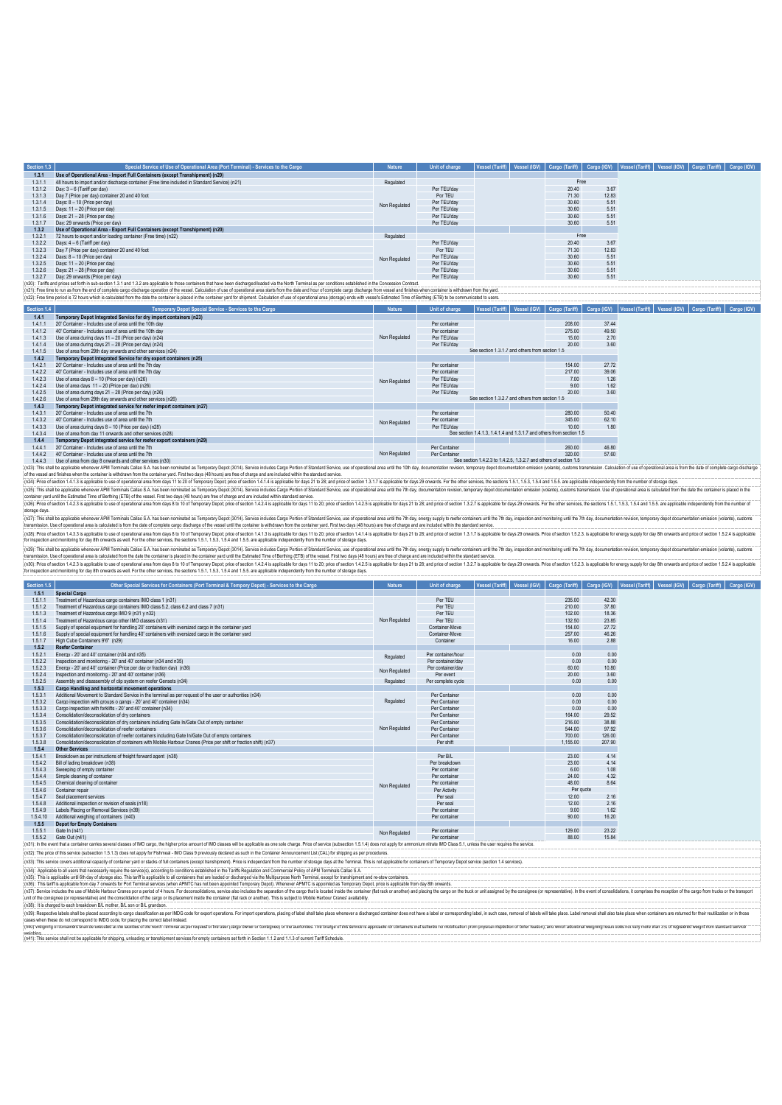| Section 1.3 | Special Service of Use of Operational Area (Port Terminal) - Services to the Cargo           | <b>Nature</b> | Unit of charge | Vessel (Tariff) Vessel (IGV) | Cargo (Tariff) | Cargo (IGV) |  | Vessel (Tariff)   Vessel (IGV)   Cargo (Tariff)   Cargo (IGV) |  |
|-------------|----------------------------------------------------------------------------------------------|---------------|----------------|------------------------------|----------------|-------------|--|---------------------------------------------------------------|--|
| 1,3.1       | Use of Operational Area - Import Full Containers (except Transhipment) (n20)                 |               |                |                              |                |             |  |                                                               |  |
| 1.3.1.1     | 48 hours to import and/or discharge container (Free time included in Standard Service) (n21) | Regulated     |                |                              | Free           |             |  |                                                               |  |
| 1.3.1.2     | Day: 3 - 6 (Tariff per day)                                                                  |               | Per TEU/day    |                              | 20.40          | 3.67        |  |                                                               |  |
| 1313        | Day 7 (Price per day) container 20 and 40 foot                                               |               | Por TEU        |                              | 71.30          | 12.83       |  |                                                               |  |
| 1314        | Days: 8 - 10 (Price per day)                                                                 | Non Regulated | Per TEU/day    |                              | 30.60          | 5.51        |  |                                                               |  |
| 1315        | Days: 11 - 20 (Price per day)                                                                |               | Per TEU/day    |                              | 30.60          | 5.51        |  |                                                               |  |
| 1316        | Days: 21 - 28 (Price per day)                                                                |               | Per TEU/day    |                              | 30.60          | 5.51        |  |                                                               |  |
| 1317        | Day: 29 onwards (Price per day)                                                              |               | Per TEU/day    |                              | 30.60          | 5.51        |  |                                                               |  |
| 1.3.2       | Use of Operational Area - Export Full Containers (except Transhipment) (n20)                 |               |                |                              |                |             |  |                                                               |  |
| 1321        | 72 hours to export and/or loading container (Free time) (n22)                                | Regulated     |                |                              | Free           |             |  |                                                               |  |
| 1322        | Days: 4 - 6 (Tariff per day)                                                                 |               | Per TEU/day    |                              | 20.40          | 3.67        |  |                                                               |  |
| 1323        | Day 7 (Price per day) container 20 and 40 foot                                               |               | Por TEU        |                              | 71.30          | 12.83       |  |                                                               |  |
| 1324        | Days: 8 - 10 (Price per day)                                                                 |               | Per TEU/day    |                              | 30.60          | 5.51        |  |                                                               |  |
| 1325        | Days: 11 - 20 (Price per day)                                                                | Non Regulated | Per TEU/day    |                              | 30.60          | 5.51        |  |                                                               |  |
| 1.3.2.6     | Days: 21 - 28 (Price per day)                                                                |               | Per TEU/day    |                              | 30.60          | 5.51        |  |                                                               |  |
| 1327        | Day: 29 onwards (Price per day)                                                              |               | Per TEU/day    |                              | 30.60          | 5.51        |  |                                                               |  |

(n20): Tarifis and prices set forth in sub-section 1.3.1 and 1.3.2 are applicable to those containers that have been discharged/oaded via the North Terminal as per conditions established in the Concession Contract. when co

| Section 1.4 | Temporary Depot Special Service - Services to the Cargo               | <b>Nature</b> | Unit of charge |                                                 |                                                                      |       |  |  | Vessel (Tariff)   Vessel (IGV)   Cargo (Tariff)   Cargo (IGV)   Vessel (Tariff)   Vessel (IGV)   Cargo (Tariff) |  |  | Cargo (IGV) |
|-------------|-----------------------------------------------------------------------|---------------|----------------|-------------------------------------------------|----------------------------------------------------------------------|-------|--|--|-----------------------------------------------------------------------------------------------------------------|--|--|-------------|
| 1.4.1       | Temporary Depot Integrated Service for dry import containers (n23)    |               |                |                                                 |                                                                      |       |  |  |                                                                                                                 |  |  |             |
| 1411        | 20' Container - Includes use of area until the 10th day               |               | Per container  |                                                 | 208.00                                                               | 37.44 |  |  |                                                                                                                 |  |  |             |
| 1412        | 40' Container - Includes use of area until the 10th day               |               | Per container  |                                                 | 275,00                                                               | 49.50 |  |  |                                                                                                                 |  |  |             |
| 1.4.1.3     | Use of area during days 11 - 20 (Price per day) (n24)                 | Non Regulated | Per TEU/dav    |                                                 | 15.00                                                                | 2.70  |  |  |                                                                                                                 |  |  |             |
| 1414        | Use of area during days 21 - 28 (Price per day) (n24)                 |               | Per TEU/dav    |                                                 | 20.00                                                                | 3.60  |  |  |                                                                                                                 |  |  |             |
| 1.4.1.5     | Use of area from 29th day onwards and other services (n24)            |               |                | See section 1.3.1.7 and others from section 1.5 |                                                                      |       |  |  |                                                                                                                 |  |  |             |
| 1.4.2       | Temporary Depot Integrated Service for dry export containers (n25)    |               |                |                                                 |                                                                      |       |  |  |                                                                                                                 |  |  |             |
| 1.4.2.1     | 20' Container - Includes use of area until the 7th day                |               | Per container  |                                                 | 154.00                                                               | 27.72 |  |  |                                                                                                                 |  |  |             |
| 1422        | 40' Container - Includes use of area until the 7th day                |               | Per container  |                                                 | 217.00                                                               | 39.06 |  |  |                                                                                                                 |  |  |             |
| 1.4.2.3     | Use of area days 8 - 10 (Price per day) (n26)                         | Non Regulated | Per TEU/dav    |                                                 | 7.00                                                                 | 1.26  |  |  |                                                                                                                 |  |  |             |
| 1.4.2.4     | Use of area days 11 - 20 (Price per day) (n26)                        |               | Per TEU/dav    |                                                 | 9.00                                                                 | 1.62  |  |  |                                                                                                                 |  |  |             |
| 1.4.2.5     | Use of area during days 21 - 28 (Price per day) (n26)                 |               | Per TEU/day    |                                                 | 20.00                                                                | 3.60  |  |  |                                                                                                                 |  |  |             |
| 1.4.2.6     | Use of area from 29th day onwards and other services (n26)            |               |                | See section 1.3.2.7 and others from section 1.5 |                                                                      |       |  |  |                                                                                                                 |  |  |             |
| 1.4.3       | Temporary Depot integrated service for reefer import containers (n27) |               |                |                                                 |                                                                      |       |  |  |                                                                                                                 |  |  |             |
| 1431        | 20' Container - Includes use of area until the 7th                    |               | Per container  |                                                 | 280.00                                                               | 50.40 |  |  |                                                                                                                 |  |  |             |
| 1.4.3.2     | 40' Container - Includes use of area until the 7th                    | Non Regulated | Per container  |                                                 | 345.00                                                               | 62.10 |  |  |                                                                                                                 |  |  |             |
| 1.4.3.3     | Use of area during days 8 - 10 (Price per day) (n28)                  |               | Per TEU/dav    |                                                 | 10.00                                                                | 1.80  |  |  |                                                                                                                 |  |  |             |
| 1.4.3.4     | Use of area from day 11 onwards and other services (n28)              |               |                |                                                 | See section 1.4.1.3. 1.4.1.4 and 1.3.1.7 and others from section 1.5 |       |  |  |                                                                                                                 |  |  |             |
| 1.4.4       | Temporary Depot integrated service for reefer export containers (n29) |               |                |                                                 |                                                                      |       |  |  |                                                                                                                 |  |  |             |
| 1441        | 20' Container - Includes use of area until the 7th                    |               | Per Container  |                                                 | 260.00                                                               | 46.80 |  |  |                                                                                                                 |  |  |             |
| 1442        | 40' Container - Includes use of area until the 7th                    | Non Regulated | Per Container  |                                                 | 320.00                                                               | 57.60 |  |  |                                                                                                                 |  |  |             |
| 1.4.4.3     | Use of area from day 8 onwards and other services (n30)               |               |                |                                                 | See section 1.4.2.3 to 1.4.2.5, 1.3.2.7 and others of section 1.5    |       |  |  |                                                                                                                 |  |  |             |

1.4.3 Use of area for my about and the reside and other services (n30)<br>(n23): This shall be applicable wheneve APM Terminals Calles SA has been nominated as Temporary Depot (3014). Service includes Cargo Portion of Standar

storage days.<br>(n2T): This ail be applicable whenever APM Terminals Callao S.A. has been nominated as Temporay Depot (3014). Service includes Cargo Portion of Standard Service, use of operational area until the 7h day, news (n2)): Pina of 14.3) is applicable bused operational era form days is 10 of lengorary (Berty). The standard in 14.14 asplicable frames in the section 14.14 asplicable for any splicable for any splicable for any splicable i

(n2): This shall be goilable where AM Teminato Callo S.A has been minimated as Tempory Data into a comparty of the comparty of the comparty of the comparty of the comparty of the comparty of the comparty of the comparty of

| Section 1.5 | Other Special Services for Containers (Port Terminal & Tempory Depot) - Services to the Cargo                    | <b>Nature</b> | Unit of charge     | <b>Vessel (Tariff)</b> | Vessel (IGV) | Cargo (Tariff) | Cargo (IGV) | Vessel (Tariff) | Vessel (IGV) Cargo (Tariff) |  |
|-------------|------------------------------------------------------------------------------------------------------------------|---------------|--------------------|------------------------|--------------|----------------|-------------|-----------------|-----------------------------|--|
| 1.5.1       | <b>Special Cargo</b>                                                                                             |               |                    |                        |              |                |             |                 |                             |  |
| 1.5.1.1     | Treatment of Hazardous cargo containers IMO class 1 (n31)                                                        |               | Per TEU            |                        |              | 235.00         | 42.30       |                 |                             |  |
| 1.5.1.2     | Treatment of Hazardous cargo containers IMO class 5.2, class 6.2 and class 7 (n31)                               |               | Per TEU            |                        |              | 210.00         | 37.80       |                 |                             |  |
| 1.5.1.3     | Treatment of Hazardous cargo IMO 9 (n31 y n32)                                                                   |               | Per TEU            |                        |              | 102.00         | 18.36       |                 |                             |  |
| 1.5.1.4     | Treatment of Hazardous cargo other IMO classes (n31)                                                             | Non Regulated | Per TEU            |                        |              | 132.50         | 23.85       |                 |                             |  |
| 1.5.1.5     | Supply of special equipment for handling 20' containers with oversized cargo in the container vard               |               | Container-Move     |                        |              | 154 00         | 27.72       |                 |                             |  |
| 1.5.1.6     | Supply of special equipment for handling 40' containers with oversized cargo in the container yard               |               | Container-Move     |                        |              | 257.00         | 46.26       |                 |                             |  |
| 1.5.1.7     | High Cube Containers 9'6" (n29)                                                                                  |               | Container          |                        |              | 16.00          | 2.88        |                 |                             |  |
| 1.5.2       | <b>Reefer Container</b>                                                                                          |               |                    |                        |              |                |             |                 |                             |  |
| 1.5.2.1     | Fnerov - 20' and 40' container (n34 and n35).                                                                    | Regulated     | Per container/hour |                        |              | 0.00           | 0.00        |                 |                             |  |
| 1.5.2.2     | Inspection and monitoring - 20' and 40' container (n34 and n35)                                                  |               | Per container/day  |                        |              | 0.00           | 0.00        |                 |                             |  |
| 1.5.2.3     | Energy - 20" and 40" container (Price per day or fraction day) (n36)                                             | Non Regulated | Per container/day  |                        |              | 60.00          | 10.80       |                 |                             |  |
| 1.5.2.4     | Inspection and monitoring - 20' and 40' container (n36)                                                          |               | Per event          |                        |              | 20.00          | 3.60        |                 |                             |  |
| 1.5.2.5     | Assembly and disassembly of clip system on reefer Gensets (n34)                                                  | Regulated     | Per complete cycle |                        |              | 0.00           | 0.00        |                 |                             |  |
| 1.5.3       | Cargo Handling and horizontal movement operations                                                                |               |                    |                        |              |                |             |                 |                             |  |
| 1.5.3.1     | Additional Movement to Standard Service in the terminal as per request of the user or authorities (n34)          | Regulated     | Per Container      |                        |              | 0.00           | 0.00        |                 |                             |  |
| 1.5.3.2     | Cargo inspection with groups o gangs - 20' and 40' container (n34)                                               |               | Per Container      |                        |              | 0.00           | 0.00        |                 |                             |  |
| 1.5.3.3     | Cargo inspection with forklifts - 20' and 40' container (n34).                                                   |               | Per Container      |                        |              | 0.00           | 0.00        |                 |                             |  |
| 1.5.3.4     | Consolidation/deconsolidation of drv containers                                                                  |               | Per Container      |                        |              | 164.00         | 29.52       |                 |                             |  |
| 1.5.3.5     | Consolidation/deconsolidation of dry containers including Gate In/Gate Out of empty container                    |               | Per Container      |                        |              | 216.00         | 38.88       |                 |                             |  |
| 1.5.3.6     | Consolidation/deconsolidation of reefer containers                                                               | Non Regulated | Per Container      |                        |              | 544.00         | 97.92       |                 |                             |  |
| 1.5.3.7     | Consolidation/deconsolidation of reefer containers including Gate In/Gate Out of empty containers                |               | Per Container      |                        |              | 700.00         | 126.00      |                 |                             |  |
| 1.5.3.8     | Consolidation/deconsolidation of containers with Mobile Harbour Cranes (Price per shift or fraction shift) (n37) |               | Per shift          |                        |              | 1.155.00       | 207.90      |                 |                             |  |
| 1.5.4       | <b>Other Services</b>                                                                                            |               |                    |                        |              |                |             |                 |                             |  |
| 1.5.4.1     | Breakdown as per instructions of freight forward agent (n38)                                                     |               | Per B/L            |                        |              | 23.00          | 4.14        |                 |                             |  |
| 1.5.4.2     | Bill of lading breakdown (n38)                                                                                   |               | Per breakdown      |                        |              | 23.00          | 4.14        |                 |                             |  |
| 1.5.4.3     | Sweeping of empty container                                                                                      |               | Per container      |                        |              | 6.00           | 1.08        |                 |                             |  |
| 1.5.4.4     | Simple cleaning of container                                                                                     |               | Per container      |                        |              | 24.00          | 4.32        |                 |                             |  |
| 1.5.4.5     | Chemical cleaning of container                                                                                   | Non Regulated | Per container      |                        |              | 48.00          | 8.64        |                 |                             |  |
| 1.5.4.6     | Container repair                                                                                                 |               | Per Activity       |                        |              | Per quote      |             |                 |                             |  |
| 1.5.4.7     | Seal placement services                                                                                          |               | Per seal           |                        |              | 12.00          | 2.16        |                 |                             |  |
| 1.5.4.8     | Additional inspection or revision of seals (n18)                                                                 |               | Per seal           |                        |              | 12.00          | 2.16        |                 |                             |  |
| 1.5.4.9     | Labels Placing or Removal Services (n39)                                                                         |               | Per container      |                        |              | 9.00           | 1.62        |                 |                             |  |
| 1.5.4.10    | Additional weighing of containers (n40)                                                                          |               | Per container      |                        |              | 90.00          | 16.20       |                 |                             |  |
| 1.5.5       | <b>Depot for Empty Containers</b>                                                                                |               |                    |                        |              |                |             |                 |                             |  |
| 1.5.5.1     | Gate In (n41)                                                                                                    | Non Regulated | Per container      |                        |              | 129.00         | 23.22       |                 |                             |  |
|             | 1.5.5.2 Gate Out (n41)                                                                                           |               | Per container      |                        |              | 88.00          | 15.84       |                 |                             |  |

(n31): in the ent this continer carries event of astero Mic and the price amount of Mic destes will be spliciable as ne side charge. Price of service is entropy for ammonim nitrate MIO Class 5.1, unless the user requires t

(n3). This service coers additional capachy of container yard or stacks of full containes (except transipment). Price is independent from the number of storage days at the Terminal. This is not applicable for containes of

(n41): This service shall not be applicable for shipping, unloading or transhipment services for empty containers set forth in Section 1.1.2 and 1.1.3 of current Tariff Schedule. weighing.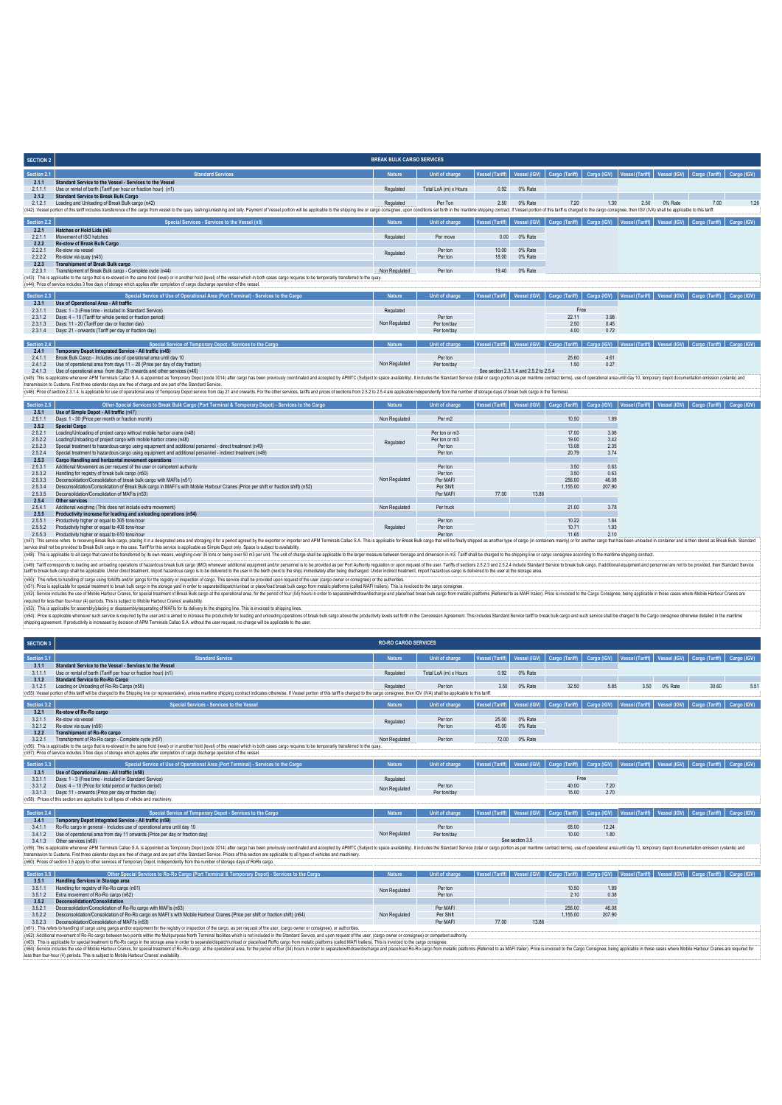| <b>SECTION 2</b> |                                                                                                                                                                                                                                | <b>BREAK BULK CARGO SERVICES</b> |                       |                 |                                        |                                                                                                                               |        |                                                               |         |                                                 |             |
|------------------|--------------------------------------------------------------------------------------------------------------------------------------------------------------------------------------------------------------------------------|----------------------------------|-----------------------|-----------------|----------------------------------------|-------------------------------------------------------------------------------------------------------------------------------|--------|---------------------------------------------------------------|---------|-------------------------------------------------|-------------|
| Section 2.1      | <b>Standard Services</b>                                                                                                                                                                                                       | <b>Nature</b>                    | Unit of charge        | Vessel (Tariff) |                                        | Vessel (IGV)   Cargo (Tariff)   Cargo (IGV)   Vessel (Tariff)   Vessel (IGV)   Cargo (Tariff)                                 |        |                                                               |         |                                                 | Cargo (IGV) |
| 2.1.1            | Standard Service to the Vessel - Services to the Vessel                                                                                                                                                                        |                                  |                       |                 |                                        |                                                                                                                               |        |                                                               |         |                                                 |             |
| 2.1.1.1          | Use or rental of berth (Tariff per hour or fraction hour) (n1)                                                                                                                                                                 | Regulated                        | Total LoA (m) x Hours | 0.92            | 0% Rate                                |                                                                                                                               |        |                                                               |         |                                                 |             |
| 2.1.2            | <b>Standard Service to Break Bulk Cargo</b>                                                                                                                                                                                    |                                  |                       |                 |                                        |                                                                                                                               |        |                                                               |         |                                                 |             |
| 2.1.2.1          | Loading and Unloading of Break Bulk cargo (n42)                                                                                                                                                                                | Requlated                        | Per Ton               | 2.50            | 0% Rate                                | 7.20                                                                                                                          | 1.30   | 2.50                                                          | 0% Rate | 7.00                                            | 1.26        |
|                  | (n42): Vessel portion of this tariff includes transference of the cargo from vessel to the quay, lashinglunlashing and tally. Payment of Vessel portion will be applicable to the shipping line or cargo consignee, upon condi |                                  |                       |                 |                                        |                                                                                                                               |        |                                                               |         |                                                 |             |
| Section 2.2      | Special Services - Services to the Vessel (n5)                                                                                                                                                                                 | <b>Nature</b>                    | Unit of charge        | Vessel (Tariff) |                                        | Vessel (IGV) Cargo (Tariff)                                                                                                   |        | Cargo (IGV)   Vessel (Tariff)   Vessel (IGV)   Cargo (Tariff) |         |                                                 | Cargo (IGV) |
| 2.2.1            | Hatches or Hold Lids (n6)                                                                                                                                                                                                      |                                  |                       |                 |                                        |                                                                                                                               |        |                                                               |         |                                                 |             |
| 2.2.1.1          | Movement of ISO hatches                                                                                                                                                                                                        | Regulated                        | Per move              | 0.00            | 0% Rate                                |                                                                                                                               |        |                                                               |         |                                                 |             |
| 2.2.2            | Re-stow of Break Bulk Cargo                                                                                                                                                                                                    |                                  |                       |                 |                                        |                                                                                                                               |        |                                                               |         |                                                 |             |
| 2221             | Re-stow via vessel                                                                                                                                                                                                             | Regulated                        | Per ton               | 10.00           | 0% Rate                                |                                                                                                                               |        |                                                               |         |                                                 |             |
| 2222             | Re-stow via quay (n43)<br><b>Transhipment of Break Bulk cargo</b>                                                                                                                                                              |                                  | Per ton               | 18.00           | 0% Rate                                |                                                                                                                               |        |                                                               |         |                                                 |             |
| 2.2.3<br>2.2.3.1 | Transhipment of Break Bulk cargo - Complete cycle (n44)                                                                                                                                                                        | Non Regulated                    | Per ton               | 19.40           | 0% Rate                                |                                                                                                                               |        |                                                               |         |                                                 |             |
|                  | (n43): This is applicable to the cargo that is re-stowed in the same hold (level) or in another hold (level) of the vessel which in both cases cargo requires to be temporarily transferred to the quay.                       |                                  |                       |                 |                                        |                                                                                                                               |        |                                                               |         |                                                 |             |
|                  | (n44): Price of service includes 3 free days of storage which applies after completion of cargo discharge operation of the vessel                                                                                              |                                  |                       |                 |                                        |                                                                                                                               |        |                                                               |         |                                                 |             |
|                  |                                                                                                                                                                                                                                |                                  |                       |                 |                                        |                                                                                                                               |        |                                                               |         |                                                 |             |
| Section 2.3      | Special Service of Use of Operational Area (Port Terminal) - Services to the Cargo                                                                                                                                             | <b>Nature</b>                    | Unit of charge        | Vessel (Tariff) |                                        | Vessel (IGV) Cargo (Tariff)                                                                                                   |        | Cargo (IGV)   Vessel (Tariff)   Vessel (IGV)   Cargo (Tariff) |         |                                                 | Cargo (IGV) |
| 2.3.1            | Use of Operational Area - All traffic                                                                                                                                                                                          |                                  |                       |                 |                                        |                                                                                                                               |        |                                                               |         |                                                 |             |
| 2.3.1.1          | Days: 1 - 3 (Free time - included in Standard Service)                                                                                                                                                                         | Regulated                        |                       |                 |                                        | Free                                                                                                                          |        |                                                               |         |                                                 |             |
| 2.3.1.2          | Days: 4 - 10 (Tariff for whole period or fraction period)                                                                                                                                                                      |                                  | Per ton               |                 |                                        | 22.11                                                                                                                         | 3.98   |                                                               |         |                                                 |             |
| 2.3.1.3          | Days: 11 - 20 (Tariff per day or fraction day)                                                                                                                                                                                 | Non Regulated                    | Per ton/day           |                 |                                        | 2.50                                                                                                                          | 0.45   |                                                               |         |                                                 |             |
| 2.3.1.4          | Days: 21 - onwards (Tariff per day or fraction day)                                                                                                                                                                            |                                  | Per ton/day           |                 |                                        | 4.00                                                                                                                          | 0.72   |                                                               |         |                                                 |             |
| Section 2.4      | Special Service of Temporary Depot - Services to the Cargo                                                                                                                                                                     | <b>Nature</b>                    | Unit of charge        |                 |                                        | Vessel (Tariff)   Vessel (IGV)   Cargo (Tariff)   Cargo (IGV)                                                                 |        |                                                               |         | Vessel (Tariff)   Vessel (IGV)   Cargo (Tariff) | Cargo (IGV) |
| 2.4.1            | Temporary Depot Integrated Service - All traffic (n45)                                                                                                                                                                         |                                  |                       |                 |                                        |                                                                                                                               |        |                                                               |         |                                                 |             |
| 2.4.1.1          | Break Bulk Cargo - Includes use of operational area until day 10                                                                                                                                                               |                                  | Per ton               |                 |                                        | 25.60                                                                                                                         | 4.61   |                                                               |         |                                                 |             |
| 2.4.1.2          | Use of operational area from days 11 - 20 (Price per day of day fraction)                                                                                                                                                      | Non Regulated                    | Per ton/day           |                 |                                        | 1.50                                                                                                                          | 0.27   |                                                               |         |                                                 |             |
| 2.4.1.3          | Use of operational area from day 21 onwards and other services (n46)                                                                                                                                                           |                                  |                       |                 | See section 2.3.1.4 and 2.5.2 to 2.5.4 |                                                                                                                               |        |                                                               |         |                                                 |             |
|                  | (n45): This is applicable whenever APM Terminals Callao S.A. is appointed as Temporary Depot (code 3014) after cargo has been previously coordinated and accepted by APMTC (Subject to space availability). It includes the St |                                  |                       |                 |                                        |                                                                                                                               |        |                                                               |         |                                                 |             |
|                  | transmission to Customs. First three calendar days are free of charge and are part of the Standard Service.                                                                                                                    |                                  |                       |                 |                                        |                                                                                                                               |        |                                                               |         |                                                 |             |
|                  | (m46): Price of section 2.3.1.4. is applicable for use of operational area of Temporary Depot service from day 21 and onwards. For the other services, tariffs and prices of sections from 2.5.2 to 2.5.4 are applicable indep |                                  |                       |                 |                                        |                                                                                                                               |        |                                                               |         |                                                 |             |
| Section 2.5      | Other Special Services to Break Bulk Cargo (Port Terminal & Temporary Depot) - Services to the Cargo                                                                                                                           | <b>Nature</b>                    | Unit of charge        |                 |                                        | Vessel (Tariff)   Vessel (IGV)   Cargo (Tariff)   Cargo (IGV)   Vessel (Tariff)   Vessel (IGV)   Cargo (Tariff)   Cargo (IGV) |        |                                                               |         |                                                 |             |
| 2.5.1            | Use of Simple Depot - All traffic (n47)                                                                                                                                                                                        |                                  |                       |                 |                                        |                                                                                                                               |        |                                                               |         |                                                 |             |
| 2.5.1.1          | Days: 1 - 30 (Price per month or fraction month)                                                                                                                                                                               | Non Regulated                    | Per m2                |                 |                                        | 10.50                                                                                                                         | 1.89   |                                                               |         |                                                 |             |
| 2.5.2            | <b>Special Cargo</b>                                                                                                                                                                                                           |                                  |                       |                 |                                        |                                                                                                                               |        |                                                               |         |                                                 |             |
| 2.5.2.1          | Loading/Unloading of project cargo without mobile harbor crane (n48)                                                                                                                                                           |                                  | Per ton or m3         |                 |                                        | 17.00                                                                                                                         | 3.06   |                                                               |         |                                                 |             |
| 2.5.2.2          | Loading/Unloading of project cargo with mobile harbor crane (n48)                                                                                                                                                              | Regulated                        | Per ton or m3         |                 |                                        | 19.00                                                                                                                         | 342    |                                                               |         |                                                 |             |
| 2.5.2.3          | Special treatment to hazardous cargo using equipment and additional personnel - direct treatment (n49)                                                                                                                         |                                  | Per ton               |                 |                                        | 13.08                                                                                                                         | 2.35   |                                                               |         |                                                 |             |
| 2.5.2.4          | Special treatment to hazardous cargo using equipment and additional personnel - indirect treatment (n49)                                                                                                                       |                                  | Per ton               |                 |                                        | 20.79                                                                                                                         | 3.74   |                                                               |         |                                                 |             |
| 2.5.3            | Cargo Handling and horizontal movement operations                                                                                                                                                                              |                                  |                       |                 |                                        |                                                                                                                               |        |                                                               |         |                                                 |             |
| 2.5.3.1          | Additional Movement as per request of the user or competent authority                                                                                                                                                          |                                  | Per ton               |                 |                                        | 3.50                                                                                                                          | 0.63   |                                                               |         |                                                 |             |
| 2.5.3.2          | Handling for registry of break bulk cargo (n50)                                                                                                                                                                                |                                  | Per ton               |                 |                                        | 3.50                                                                                                                          | 0.63   |                                                               |         |                                                 |             |
| 2.5.3.3          | Deconsolidation/Consolidation of break bulk cargo with MAFIs (n51)                                                                                                                                                             | Non Regulated                    | Per MAFI              |                 |                                        | 256.00                                                                                                                        | 46.08  |                                                               |         |                                                 |             |
| 2.5.3.4          | Desconsolidation/Consolidation of Break Bulk cargo in MAFI's with Mobile Harbour Cranes (Price per shift or fraction shift) (n52)<br>Deconsolidation/Consolidation of MAFIs (n53)                                              |                                  | Per Shift             |                 |                                        | 1.155.00                                                                                                                      | 207.90 |                                                               |         |                                                 |             |
| 2535             |                                                                                                                                                                                                                                |                                  | Per MAFI              | 77.00           | 13.86                                  |                                                                                                                               |        |                                                               |         |                                                 |             |
| 2.5.4<br>2541    | Other services<br>Additional weighing (This does not include extra movement)                                                                                                                                                   | Non Regulated                    | Per truck             |                 |                                        | 21.00                                                                                                                         | 3.78   |                                                               |         |                                                 |             |
| 2.5.5            | Productivity increase for loading and unloading operations (n54)                                                                                                                                                               |                                  |                       |                 |                                        |                                                                                                                               |        |                                                               |         |                                                 |             |
| 2.5.5.1          | Productivity higher or equal to 305 tons-hour                                                                                                                                                                                  |                                  | Per ton               |                 |                                        | 10.22                                                                                                                         | 1.84   |                                                               |         |                                                 |             |
| 2.5.5.2          | Productivity higher or equal to 406 tons-hour                                                                                                                                                                                  | Regulated                        | Per ton               |                 |                                        | 10.71                                                                                                                         | 1.93   |                                                               |         |                                                 |             |
| 2.5.5.3          | Productivity higher or equal to 610 tons-hour                                                                                                                                                                                  |                                  | Per ton               |                 |                                        | 11.65                                                                                                                         | 2.10   |                                                               |         |                                                 |             |

**Regulated** (n47). This service refers to receiving Break Bulk cargo, placing time designated area and storaging if for a period ayered by the exporter or importer and APM Terminis Calles S.A. This is applicable for east) changing the (MS): Tafforesports to be and understo the accept of the studie and the members of the studie of the studies and the property and the studies and the state of the state of the studies and the state of the studies of the st

(r63): This restrict branding d'asp und points and/o ginag for the regist of the regist of responsible product of cargo This envious of the provided to aspect of the server consigned of the article and the product of a con

| <b>SECTION 3</b> |                                                                                                                                                                                                                                | <b>RO-RO CARGO SERVICES</b> |                       |                        |                 |                |               |                 |         |                                                                                                                               |             |
|------------------|--------------------------------------------------------------------------------------------------------------------------------------------------------------------------------------------------------------------------------|-----------------------------|-----------------------|------------------------|-----------------|----------------|---------------|-----------------|---------|-------------------------------------------------------------------------------------------------------------------------------|-------------|
| Section 3.1      | <b>Standard Service</b>                                                                                                                                                                                                        | <b>Nature</b>               | Unit of charge        | <b>Vessel (Tariff)</b> | Vessel (IGV)    | Cargo (Tariff) | Cargo (IGV)   |                 |         | Vessel (Tariff) Vessel (IGV) Cargo (Tariff)                                                                                   | Cargo (IGV) |
| 3.1.1            | Standard Service to the Vessel - Services to the Vessel                                                                                                                                                                        |                             |                       |                        |                 |                |               |                 |         |                                                                                                                               |             |
| 3.1.1.1          | Use or rental of berth (Tariff per hour or fraction hour) (n1)                                                                                                                                                                 | Regulated                   | Total LoA (m) x Hours | 0.92                   | 0% Rate         |                |               |                 |         |                                                                                                                               |             |
| 3.1.2            | Standard Service to Ro-Ro Cargo                                                                                                                                                                                                |                             |                       |                        |                 |                |               |                 |         |                                                                                                                               |             |
| 3.1.2.1          | Loading or Unloading of Ro-Ro Cargo (n55)                                                                                                                                                                                      | Regulated                   | Per ton               | 3.50                   | 0% Rate         | 32.50          | 5.85          | 3.50            | 0% Rate | 30.60                                                                                                                         | 5.51        |
|                  | (n55): Vessel portion of this tariff will be charged to the Shipping line (or representative), unless maritime shipping contract indicates otherwise. If Vessel portion of this tariff is charged to the cargo consignee, then |                             |                       |                        |                 |                |               |                 |         |                                                                                                                               |             |
| Section 3.2      | Special Services - Services to the Vessel                                                                                                                                                                                      | <b>Nature</b>               | Unit of charge        | <b>Vessel (Tariff)</b> | Vessel (IGV)    |                |               |                 |         | Cargo (Tariff)   Cargo (IGV)   Vessel (Tariff)   Vessel (IGV)   Cargo (Tariff)   Cargo (IGV)                                  |             |
| 3.2.1            | Re-stow of Ro-Ro cargo                                                                                                                                                                                                         |                             |                       |                        |                 |                |               |                 |         |                                                                                                                               |             |
| 3.2.1.1          | Re-stow via vessel                                                                                                                                                                                                             |                             | Per ton               | 25.00                  | 0% Rate         |                |               |                 |         |                                                                                                                               |             |
| 3.2.1.2          | Re-stow via quay (n56)                                                                                                                                                                                                         | Regulated                   | Per ton               | 45.00                  | 0% Rate         |                |               |                 |         |                                                                                                                               |             |
| 3.2.2            | Transhipment of Ro-Ro cargo                                                                                                                                                                                                    |                             |                       |                        |                 |                |               |                 |         |                                                                                                                               |             |
| 3.2.2.1          | Transhipment of Ro-Ro cargo - Complete cycle (n57)                                                                                                                                                                             | Non Regulated               | Per ton               | 72.00                  | 0% Rate         |                |               |                 |         |                                                                                                                               |             |
|                  | (n56): This is applicable to the cargo that is re-stowed in the same hold (level) or in another hold (level) of the vessel which in both cases cargo requires to be temporarily transferred to the quay.                       |                             |                       |                        |                 |                |               |                 |         |                                                                                                                               |             |
|                  | (n57): Price of service includes 3 free days of storage which applies after completion of cargo discharge operation of the vessel.                                                                                             |                             |                       |                        |                 |                |               |                 |         |                                                                                                                               |             |
| Section 3.3      | Special Service of Use of Operational Area (Port Terminal) - Services to the Cargo                                                                                                                                             | <b>Nature</b>               | Unit of charge        | <b>Vessel (Tariff)</b> | Vessel (IGV)    | Cargo (Tariff) | Cargo (IGV)   | Vessel (Tariff) |         | Vessel (IGV) Cargo (Tariff)                                                                                                   | Cargo (IGV) |
| 3.3.1            | Use of Operational Area - All traffic (n58)                                                                                                                                                                                    |                             |                       |                        |                 |                |               |                 |         |                                                                                                                               |             |
| 3311             | Days: 1 - 3 (Free time - included in Standard Service)                                                                                                                                                                         | Regulated                   |                       |                        |                 | Free           |               |                 |         |                                                                                                                               |             |
| 3.3.1.2          | Days: 4 - 10 (Price for total period or fraction period)                                                                                                                                                                       | Non Regulated               | Per ton               |                        |                 | 40.00          | 7.20          |                 |         |                                                                                                                               |             |
| 3.3.1.3          | Days: 11 - onwards (Price per day or fraction day)                                                                                                                                                                             |                             | Per ton/day           |                        |                 | 15.00          | 2.70          |                 |         |                                                                                                                               |             |
|                  | (n58): Prices of this section are applicable to all types of vehicle and machinery                                                                                                                                             |                             |                       |                        |                 |                |               |                 |         |                                                                                                                               |             |
| Section 3.4      | Special Service of Temporary Depot - Services to the Cargo                                                                                                                                                                     | <b>Nature</b>               | Unit of charge        | <b>Vessel (Tariff)</b> | Vessel (IGV)    | Cargo (Tariff) | Cargo (IGV)   |                 |         | Vessel (Tariff)   Vessel (IGV)   Cargo (Tariff)   Cargo (IGV)                                                                 |             |
|                  |                                                                                                                                                                                                                                |                             |                       |                        |                 |                |               |                 |         |                                                                                                                               |             |
| 3.4.1            | Temporary Depot Integrated Service - All traffic (n59)                                                                                                                                                                         |                             |                       |                        |                 |                |               |                 |         |                                                                                                                               |             |
| 3.4.1.1          | Ro-Ro cargo in general - Includes use of operational area until day 10                                                                                                                                                         |                             | Per ton               |                        |                 | 68.00          | 12.24<br>1.80 |                 |         |                                                                                                                               |             |
| 3.4.1.2<br>3413  | Use of operational area from day 11 onwards (Price per day or fraction day)<br>Other services (n60)                                                                                                                            | Non Regulated               | Per ton/day           |                        | See section 3.5 | 10.00          |               |                 |         |                                                                                                                               |             |
|                  | (n59): This is applicable whenever APM Terminals Callao S.A. is appointed as Temporary Depot (code 3014) after cargo has been previously coordinated and accepted by APMTC (Subject to space availability). It includes the St |                             |                       |                        |                 |                |               |                 |         |                                                                                                                               |             |
|                  | transmission to Customs. First three calendar days are free of charge and are part of the Standard Service. Prices of this section are applicable to all types of vehicles and machinery.                                      |                             |                       |                        |                 |                |               |                 |         |                                                                                                                               |             |
|                  | (n60): Prices of section 3.5 apply to other services of Temporary Depot, independently from the number of storage days of RoRo cargo.                                                                                          |                             |                       |                        |                 |                |               |                 |         |                                                                                                                               |             |
|                  |                                                                                                                                                                                                                                |                             |                       |                        |                 |                |               |                 |         |                                                                                                                               |             |
| Section 3.5      | Other Special Services to Ro-Ro Cargo (Port Terminal & Temporary Depot) - Services to the Cargo                                                                                                                                | <b>Nature</b>               | Unit of charge        |                        |                 |                |               |                 |         | Vessel (Tariff)   Vessel (IGV)   Cargo (Tariff)   Cargo (IGV)   Vessel (Tariff)   Vessel (IGV)   Cargo (Tariff)   Cargo (IGV) |             |
| 3.5.1            | Handling Services in Storage area                                                                                                                                                                                              |                             |                       |                        |                 |                |               |                 |         |                                                                                                                               |             |
| 3.5.1.1          | Handling for registry of Ro-Ro cargo (n61)                                                                                                                                                                                     | Non Regulated               | Per ton               |                        |                 | 10.50          | 1.89          |                 |         |                                                                                                                               |             |
| 3.5.1.2          | Extra movement of Ro-Ro cargo (n62)                                                                                                                                                                                            |                             | Per ton               |                        |                 | 2.10           | 0.38          |                 |         |                                                                                                                               |             |
| 3.5.2            | <b>Deconsolidation/Consolidation</b>                                                                                                                                                                                           |                             |                       |                        |                 |                |               |                 |         |                                                                                                                               |             |
| 3.5.2.1          | Deconsolidation/Consolidation of Ro-Ro cargo with MAFIs (n63)                                                                                                                                                                  |                             | Per MAFI              |                        |                 | 256.00         | 46.08         |                 |         |                                                                                                                               |             |
| 3.5.2.2          | Desconsolidation/Consolidation of Ro-Ro cargo en MAFI's with Mobile Harbour Cranes (Price per shift or fraction shift) (n64)                                                                                                   | Non Regulated               | Per Shift             |                        |                 | 1.155.00       | 207.90        |                 |         |                                                                                                                               |             |
| 3.5.2.3          | Deconsolidation/Consolidation of MAFI's (n53)                                                                                                                                                                                  |                             | Per MAFI              | 77.00                  | 13.86           |                |               |                 |         |                                                                                                                               |             |

(n51) : This reles to handing of cargo using gangs and/or equipment for the respistry or inspection of the cargo, as per request of the user, (cargo owner or consignee) or authorities, (cargo owner or consignee) or compete

(r64); Series that in the state of cases where it are internal of Re-Resolvement Re-Resolvement in the period of bur(4) hours in order to sparabwihdrawischarge and packled AR-Resolved Installers (Refered to a MAFI trailer)